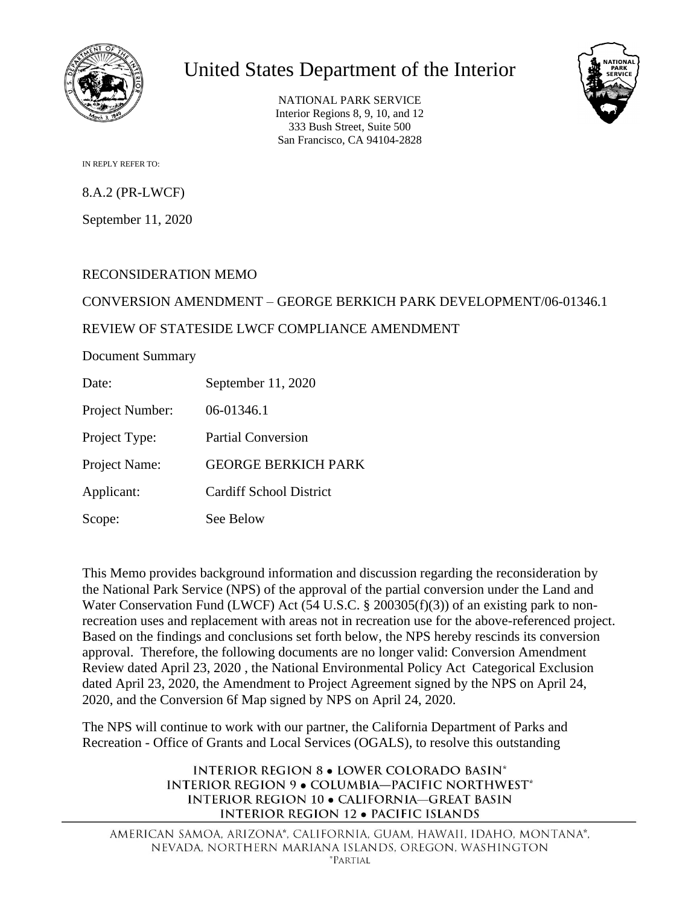

# United States Department of the Interior

NATIONAL PARK SERVICE Interior Regions 8, 9, 10, and 12 333 Bush Street, Suite 500 San Francisco, CA 94104-2828



IN REPLY REFER TO:

8.A.2 (PR-LWCF)

September 11, 2020

## RECONSIDERATION MEMO

## CONVERSION AMENDMENT – GEORGE BERKICH PARK DEVELOPMENT/06-01346.1

## REVIEW OF STATESIDE LWCF COMPLIANCE AMENDMENT

Document Summary

Date: September 11, 2020

Project Number: 06-01346.1

Project Type: Partial Conversion

Project Name: GEORGE BERKICH PARK

Applicant: Cardiff School District

Scope: See Below

This Memo provides background information and discussion regarding the reconsideration by the National Park Service (NPS) of the approval of the partial conversion under the Land and Water Conservation Fund (LWCF) Act (54 U.S.C. § 200305(f)(3)) of an existing park to nonrecreation uses and replacement with areas not in recreation use for the above-referenced project. Based on the findings and conclusions set forth below, the NPS hereby rescinds its conversion approval. Therefore, the following documents are no longer valid: Conversion Amendment Review dated April 23, 2020 , the National Environmental Policy Act Categorical Exclusion dated April 23, 2020, the Amendment to Project Agreement signed by the NPS on April 24, 2020, and the Conversion 6f Map signed by NPS on April 24, 2020.

The NPS will continue to work with our partner, the California Department of Parks and Recreation - Office of Grants and Local Services (OGALS), to resolve this outstanding

> **INTERIOR REGION 8 . LOWER COLORADO BASIN\* INTERIOR REGION 9 . COLUMBIA-PACIFIC NORTHWEST\*** INTERIOR REGION 10 . CALIFORNIA-GREAT BASIN **INTERIOR REGION 12 · PACIFIC ISLANDS**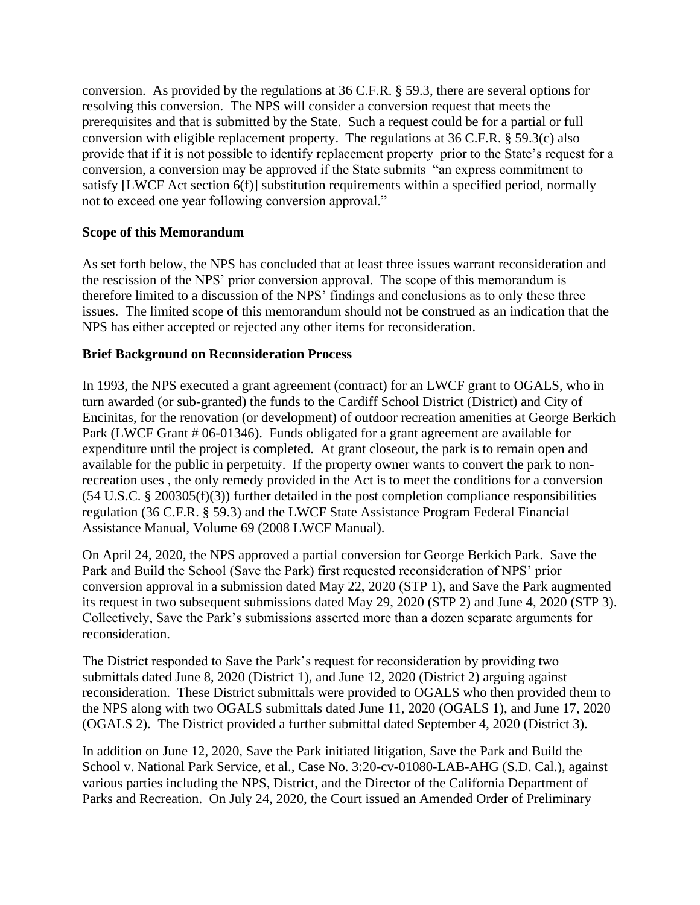conversion. As provided by the regulations at 36 C.F.R. § 59.3, there are several options for resolving this conversion. The NPS will consider a conversion request that meets the prerequisites and that is submitted by the State. Such a request could be for a partial or full conversion with eligible replacement property. The regulations at 36 C.F.R. § 59.3(c) also provide that if it is not possible to identify replacement property prior to the State's request for a conversion, a conversion may be approved if the State submits "an express commitment to satisfy [LWCF Act section 6(f)] substitution requirements within a specified period, normally not to exceed one year following conversion approval."

## **Scope of this Memorandum**

As set forth below, the NPS has concluded that at least three issues warrant reconsideration and the rescission of the NPS' prior conversion approval. The scope of this memorandum is therefore limited to a discussion of the NPS' findings and conclusions as to only these three issues. The limited scope of this memorandum should not be construed as an indication that the NPS has either accepted or rejected any other items for reconsideration.

#### **Brief Background on Reconsideration Process**

In 1993, the NPS executed a grant agreement (contract) for an LWCF grant to OGALS, who in turn awarded (or sub-granted) the funds to the Cardiff School District (District) and City of Encinitas, for the renovation (or development) of outdoor recreation amenities at George Berkich Park (LWCF Grant # 06-01346). Funds obligated for a grant agreement are available for expenditure until the project is completed. At grant closeout, the park is to remain open and available for the public in perpetuity. If the property owner wants to convert the park to nonrecreation uses , the only remedy provided in the Act is to meet the conditions for a conversion (54 U.S.C. § 200305(f)(3)) further detailed in the post completion compliance responsibilities regulation (36 C.F.R. § 59.3) and the LWCF State Assistance Program Federal Financial Assistance Manual, Volume 69 (2008 LWCF Manual).

On April 24, 2020, the NPS approved a partial conversion for George Berkich Park. Save the Park and Build the School (Save the Park) first requested reconsideration of NPS' prior conversion approval in a submission dated May 22, 2020 (STP 1), and Save the Park augmented its request in two subsequent submissions dated May 29, 2020 (STP 2) and June 4, 2020 (STP 3). Collectively, Save the Park's submissions asserted more than a dozen separate arguments for reconsideration.

The District responded to Save the Park's request for reconsideration by providing two submittals dated June 8, 2020 (District 1), and June 12, 2020 (District 2) arguing against reconsideration. These District submittals were provided to OGALS who then provided them to the NPS along with two OGALS submittals dated June 11, 2020 (OGALS 1), and June 17, 2020 (OGALS 2). The District provided a further submittal dated September 4, 2020 (District 3).

In addition on June 12, 2020, Save the Park initiated litigation, Save the Park and Build the School v. National Park Service, et al., Case No. 3:20-cv-01080-LAB-AHG (S.D. Cal.), against various parties including the NPS, District, and the Director of the California Department of Parks and Recreation. On July 24, 2020, the Court issued an Amended Order of Preliminary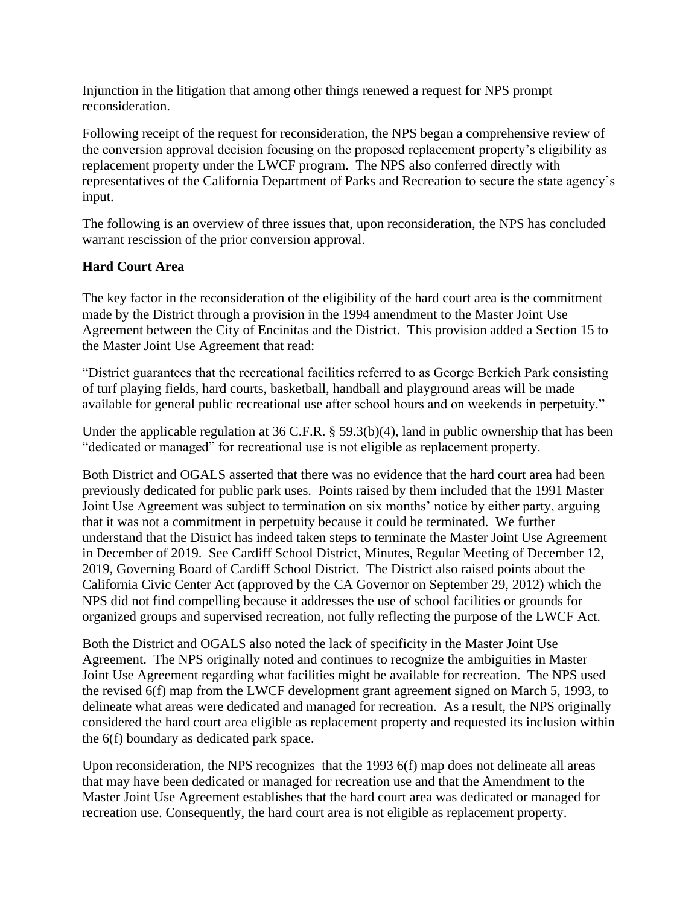Injunction in the litigation that among other things renewed a request for NPS prompt reconsideration.

Following receipt of the request for reconsideration, the NPS began a comprehensive review of the conversion approval decision focusing on the proposed replacement property's eligibility as replacement property under the LWCF program. The NPS also conferred directly with representatives of the California Department of Parks and Recreation to secure the state agency's input.

The following is an overview of three issues that, upon reconsideration, the NPS has concluded warrant rescission of the prior conversion approval.

## **Hard Court Area**

The key factor in the reconsideration of the eligibility of the hard court area is the commitment made by the District through a provision in the 1994 amendment to the Master Joint Use Agreement between the City of Encinitas and the District. This provision added a Section 15 to the Master Joint Use Agreement that read:

"District guarantees that the recreational facilities referred to as George Berkich Park consisting of turf playing fields, hard courts, basketball, handball and playground areas will be made available for general public recreational use after school hours and on weekends in perpetuity."

Under the applicable regulation at 36 C.F.R.  $\S$  59.3(b)(4), land in public ownership that has been "dedicated or managed" for recreational use is not eligible as replacement property.

Both District and OGALS asserted that there was no evidence that the hard court area had been previously dedicated for public park uses. Points raised by them included that the 1991 Master Joint Use Agreement was subject to termination on six months' notice by either party, arguing that it was not a commitment in perpetuity because it could be terminated. We further understand that the District has indeed taken steps to terminate the Master Joint Use Agreement in December of 2019. See Cardiff School District, Minutes, Regular Meeting of December 12, 2019, Governing Board of Cardiff School District. The District also raised points about the California Civic Center Act (approved by the CA Governor on September 29, 2012) which the NPS did not find compelling because it addresses the use of school facilities or grounds for organized groups and supervised recreation, not fully reflecting the purpose of the LWCF Act.

Both the District and OGALS also noted the lack of specificity in the Master Joint Use Agreement. The NPS originally noted and continues to recognize the ambiguities in Master Joint Use Agreement regarding what facilities might be available for recreation. The NPS used the revised 6(f) map from the LWCF development grant agreement signed on March 5, 1993, to delineate what areas were dedicated and managed for recreation. As a result, the NPS originally considered the hard court area eligible as replacement property and requested its inclusion within the 6(f) boundary as dedicated park space.

Upon reconsideration, the NPS recognizes that the 1993 6(f) map does not delineate all areas that may have been dedicated or managed for recreation use and that the Amendment to the Master Joint Use Agreement establishes that the hard court area was dedicated or managed for recreation use. Consequently, the hard court area is not eligible as replacement property.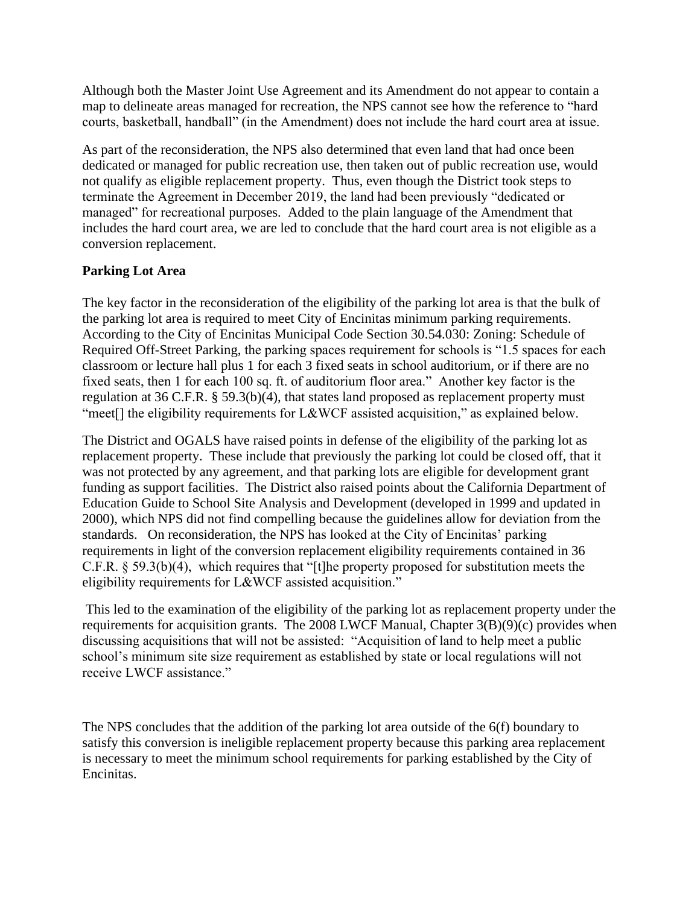Although both the Master Joint Use Agreement and its Amendment do not appear to contain a map to delineate areas managed for recreation, the NPS cannot see how the reference to "hard courts, basketball, handball" (in the Amendment) does not include the hard court area at issue.

As part of the reconsideration, the NPS also determined that even land that had once been dedicated or managed for public recreation use, then taken out of public recreation use, would not qualify as eligible replacement property. Thus, even though the District took steps to terminate the Agreement in December 2019, the land had been previously "dedicated or managed" for recreational purposes. Added to the plain language of the Amendment that includes the hard court area, we are led to conclude that the hard court area is not eligible as a conversion replacement.

#### **Parking Lot Area**

The key factor in the reconsideration of the eligibility of the parking lot area is that the bulk of the parking lot area is required to meet City of Encinitas minimum parking requirements. According to the City of Encinitas Municipal Code Section 30.54.030: Zoning: Schedule of Required Off-Street Parking, the parking spaces requirement for schools is "1.5 spaces for each classroom or lecture hall plus 1 for each 3 fixed seats in school auditorium, or if there are no fixed seats, then 1 for each 100 sq. ft. of auditorium floor area." Another key factor is the regulation at 36 C.F.R. § 59.3(b)(4), that states land proposed as replacement property must "meet<sup>[]</sup> the eligibility requirements for L&WCF assisted acquisition," as explained below.

The District and OGALS have raised points in defense of the eligibility of the parking lot as replacement property. These include that previously the parking lot could be closed off, that it was not protected by any agreement, and that parking lots are eligible for development grant funding as support facilities. The District also raised points about the California Department of Education Guide to School Site Analysis and Development (developed in 1999 and updated in 2000), which NPS did not find compelling because the guidelines allow for deviation from the standards. On reconsideration, the NPS has looked at the City of Encinitas' parking requirements in light of the conversion replacement eligibility requirements contained in 36 C.F.R. § 59.3(b)(4), which requires that "[t]he property proposed for substitution meets the eligibility requirements for L&WCF assisted acquisition."

This led to the examination of the eligibility of the parking lot as replacement property under the requirements for acquisition grants. The 2008 LWCF Manual, Chapter 3(B)(9)(c) provides when discussing acquisitions that will not be assisted: "Acquisition of land to help meet a public school's minimum site size requirement as established by state or local regulations will not receive LWCF assistance."

The NPS concludes that the addition of the parking lot area outside of the 6(f) boundary to satisfy this conversion is ineligible replacement property because this parking area replacement is necessary to meet the minimum school requirements for parking established by the City of Encinitas.